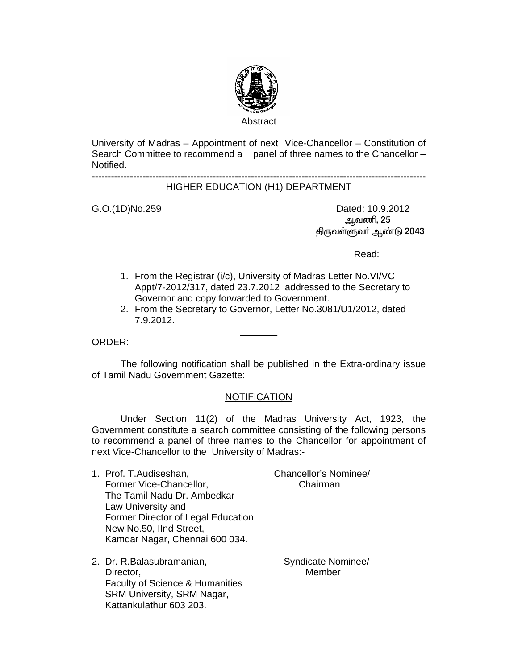

University of Madras – Appointment of next Vice-Chancellor – Constitution of Search Committee to recommend a panel of three names to the Chancellor – Notified.

---------------------------------------------------------------------------------------------------------

### HIGHER EDUCATION (H1) DEPARTMENT

G.O.(1D)No.259 Dated: 10.9.2012 <u>ஆ</u>வணி, 25 திருவள்ளுவா் ஆண்டு 2043

**Read:** The contract of the contract of the contract of the Read:

- 1. From the Registrar (i/c), University of Madras Letter No.VI/VC Appt/7-2012/317, dated 23.7.2012 addressed to the Secretary to Governor and copy forwarded to Government.
- 2. From the Secretary to Governor, Letter No.3081/U1/2012, dated 7.9.2012.

#### ORDER:

 The following notification shall be published in the Extra-ordinary issue of Tamil Nadu Government Gazette:

 $\frac{1}{2}$ 

# NOTIFICATION

 Under Section 11(2) of the Madras University Act, 1923, the Government constitute a search committee consisting of the following persons to recommend a panel of three names to the Chancellor for appointment of next Vice-Chancellor to the University of Madras:-

- 1. Prof. T.Audiseshan, Chancellor's Nominee/ Former Vice-Chancellor, The Chairman The Tamil Nadu Dr. Ambedkar Law University and Former Director of Legal Education New No.50, IInd Street, Kamdar Nagar, Chennai 600 034.
- 2. Dr. R.Balasubramanian, Syndicate Nominee/ Director, **Member** 2008, 2008, 2008, 2008, 2008, 2008, 2008, 2008, 2008, 2008, 2008, 2008, 2008, 2008, 2008, 200 Faculty of Science & Humanities SRM University, SRM Nagar, Kattankulathur 603 203.